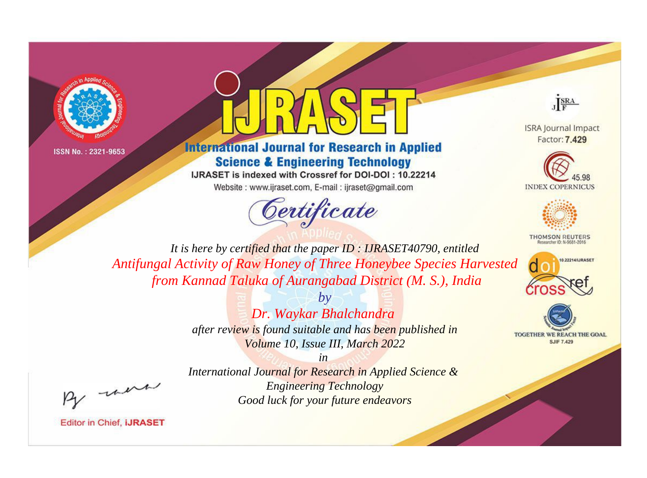

ISSN No.: 2321-9653



## **International Journal for Research in Applied Science & Engineering Technology**

IJRASET is indexed with Crossref for DOI-DOI: 10.22214 Website: www.ijraset.com, E-mail: ijraset@gmail.com





**ISRA Journal Impact** Factor: 7.429





**THOMSON REUTERS** 



TOGETHER WE REACH THE GOAL **SJIF 7.429** 

*It is here by certified that the paper ID : IJRASET40790, entitled Antifungal Activity of Raw Honey of Three Honeybee Species Harvested from Kannad Taluka of Aurangabad District (M. S.), India*

> *by Dr. Waykar Bhalchandra after review is found suitable and has been published in Volume 10, Issue III, March 2022*

, were

*International Journal for Research in Applied Science & Engineering Technology Good luck for your future endeavors*

*in* 

**Editor in Chief, IJRASET**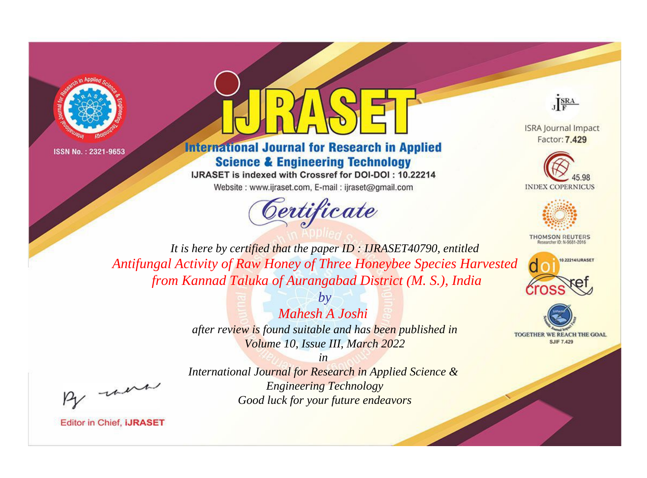

ISSN No.: 2321-9653



## **International Journal for Research in Applied Science & Engineering Technology**

IJRASET is indexed with Crossref for DOI-DOI: 10.22214 Website: www.ijraset.com, E-mail: ijraset@gmail.com



JERA

**ISRA Journal Impact** Factor: 7.429





**THOMSON REUTERS** 



TOGETHER WE REACH THE GOAL **SJIF 7.429** 

*It is here by certified that the paper ID : IJRASET40790, entitled Antifungal Activity of Raw Honey of Three Honeybee Species Harvested from Kannad Taluka of Aurangabad District (M. S.), India*

> *by Mahesh A Joshi after review is found suitable and has been published in Volume 10, Issue III, March 2022*

, un

*International Journal for Research in Applied Science & Engineering Technology Good luck for your future endeavors*

*in* 

**Editor in Chief, IJRASET**